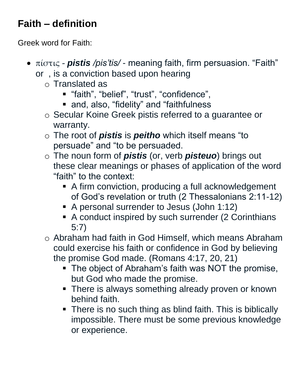## **Faith – definition**

Greek word for Faith:

- πίστις **pistis** /pis'tis/ meaning faith, firm persuasion. "Faith" or , is a conviction based upon hearing
	- o Translated as
		- "faith", "belief", "trust", "confidence",
		- and, also, "fidelity" and "faithfulness
	- o Secular Koine Greek pistis referred to a guarantee or warranty.
	- o The root of *pistis* is *peitho* which itself means "to persuade" and "to be persuaded.
	- o The noun form of *pistis* (or, verb *pisteuo*) brings out these clear meanings or phases of application of the word "faith" to the context:
		- A firm conviction, producing a full acknowledgement of God's revelation or truth (2 Thessalonians 2:11-12)
		- A personal surrender to Jesus (John 1:12)
		- A conduct inspired by such surrender (2 Corinthians 5:7)
	- o Abraham had faith in God Himself, which means Abraham could exercise his faith or confidence in God by believing the promise God made. (Romans 4:17, 20, 21)
		- The object of Abraham's faith was NOT the promise, but God who made the promise.
		- **There is always something already proven or known** behind faith.
		- There is no such thing as blind faith. This is biblically impossible. There must be some previous knowledge or experience.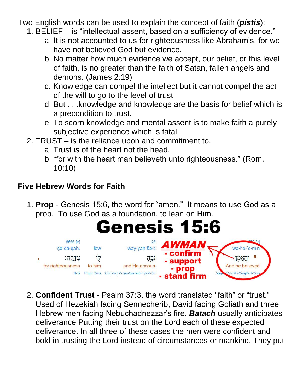Two English words can be used to explain the concept of faith (*pistis*):

- 1. BELIEF is "intellectual assent, based on a sufficiency of evidence."
	- a. It is not accounted to us for righteousness like Abraham's, for we have not believed God but evidence.
	- b. No matter how much evidence we accept, our belief, or this level of faith, is no greater than the faith of Satan, fallen angels and demons. (James 2:19)
	- c. Knowledge can compel the intellect but it cannot compel the act of the will to go to the level of trust.
	- d. But . . .knowledge and knowledge are the basis for belief which is a precondition to trust.
	- e. To scorn knowledge and mental assent is to make faith a purely subjective experience which is fatal
- 2. TRUST is the reliance upon and commitment to.
	- a. Trust is of the heart not the head.
	- b. "for with the heart man believeth unto righteousness." (Rom. 10:10)

## **Five Hebrew Words for Faith**

1. **Prop** - Genesis 15:6, the word for "amen." It means to use God as a prop. To use God as a foundation, to lean on Him.



2. **Confident Trust** - Psalm 37:3, the word translated "faith" or "trust." Used of Hezekiah facing Sennecherib, David facing Goliath and three Hebrew men facing Nebuchadnezzar's fire. *Batach* usually anticipates deliverance Putting their trust on the Lord each of these expected deliverance. In all three of these cases the men were confident and bold in trusting the Lord instead of circumstances or mankind. They put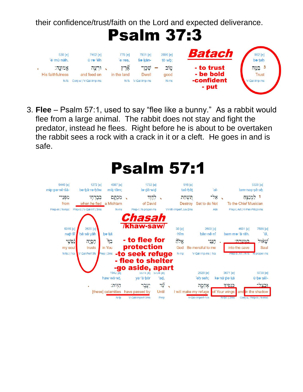their confidence/trust/faith on the Lord and expected deliverance.

**Psalm 37:3** 



3. **Flee** – Psalm 57:1, used to say "flee like a bunny." As a rabbit would flee from a large animal. The rabbit does not stay and fight the predator, instead he flees. Right before he is about to be overtaken the rabbit sees a rock with a crack in it or a cleft. He goes in and is safe.

| 6440 [e]<br>mip·pa·nê·šā-<br>מפני<br>from<br>Prep-m   N-mpc     | 1272 [e]<br>be·bā·re·hōw<br>בְּבְרְחָוֹ<br>when he fled<br>Prep-b   V-Qal-Inf   3ms | 4387 [e]<br>mik tām;<br>מְכְתָּם<br>a Michtam<br>$N-ms$            | le·dā·wid<br>of David<br>Prep-I   N-proper-ms<br>hasah                                      | 1732 [e]<br>לְדָוָד<br>$\overline{\phantom{0}}$ | 516 [e]<br>taš hêt<br>תַּשְׁהַת<br><b>Destroy</b><br>V-Hifil-Imperf.Jus-2ms | $ a $ -<br>$-2x$<br>Set to do Not<br>Adv                                    | למנצח<br><b>To the Chief Musician</b><br>Prep-I, Art   V-Piel-Prtcpl-ms     | 5329 [e]<br>lam·nas·sê·ah                                                             |
|-----------------------------------------------------------------|-------------------------------------------------------------------------------------|--------------------------------------------------------------------|---------------------------------------------------------------------------------------------|-------------------------------------------------|-----------------------------------------------------------------------------|-----------------------------------------------------------------------------|-----------------------------------------------------------------------------|---------------------------------------------------------------------------------------|
| 5315 [e]<br>nap sî<br><u>לַפְשֶׁי</u><br>my soul<br>N-fsc   1cs | 2620 [e]<br>hā sā yāh<br>הְסְיָה<br>trusts<br>V-Qal-Perf-3fs                        | be kā<br>$\widetilde{F}$<br>in You<br>Prep   2ms                   | /khaw-saw/<br>- to flee for<br>protection<br>-to seek refuge<br>- flee to shelter           |                                                 | 30 [e]<br>$-\hbar$ îm<br>ਜ਼ੋਂ ਨਾਲ<br>God<br>$N$ -mp                         | 2603 [e]<br>hân nê nî<br>חֲנְי<br>Be merciful to me<br>V-Qal-Imp-ms   1cs   | 4631 [e]<br>bam·me·'ā·rāh.<br>רמערה:<br>into the cave<br>Prep-b. Art   N-ts | 7586 [e]<br>'ūl,<br>שאול<br>Saul<br>N-proper-ms                                       |
|                                                                 |                                                                                     | $1942$ [e]<br>haw·wō·wt.<br>הוות:<br>[these] calamities<br>$N$ -fp | -go aside, apart<br>$bb/4$  e <br>ya 'ă bor<br>יעִבְר<br>have passed by<br>V-Qal-Imperf-3ms | $5104$ $ e $<br>'ad,<br>тÿ<br>Until<br>Prep     |                                                                             | 2620 [e]<br>eh seh:<br>אַחְסֱה<br>I will make my refuge<br>V-Qal-Imperf-1cs | 3671 [e]<br>ka·nā·pe·kā<br>כנפיד<br>of Your wings<br>N-fpc   2ms            | 6738 [e]<br>ū-be-sêl-<br><u>וּבצל־</u><br>and in the shadow<br>Conj-w, Prep-b   N-msc |

## **Psalm 57:1**